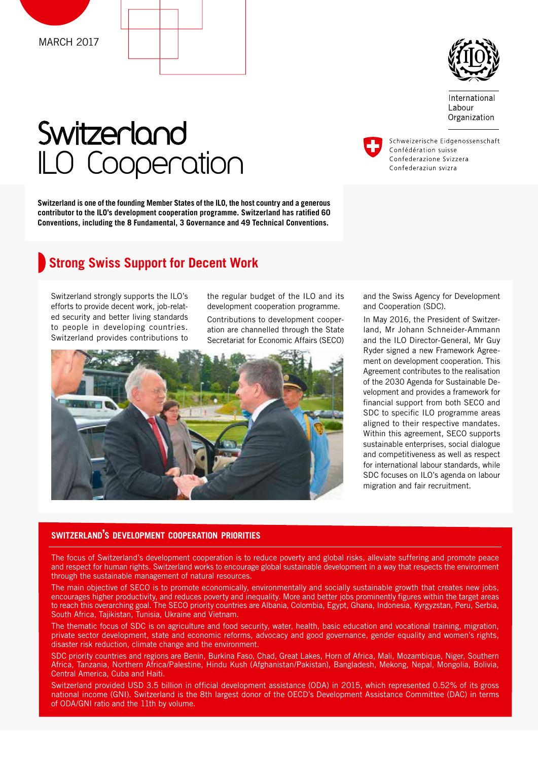



International Labour Organization

# **Switzerland** ILO Cooperation

**Switzerland is one of the founding Member States of the ILO, the host country and a generous**  contributor to the ILO's development cooperation programme. Switzerland has ratified 60 **Conventions, including the 8 Fundamental, 3 Governance and 49 Technical Conventions.**

## **Strong Swiss Support for Decent Work**

Switzerland strongly supports the ILO's efforts to provide decent work, job-related security and better living standards to people in developing countries. Switzerland provides contributions to

the regular budget of the ILO and its development cooperation programme.

Contributions to development cooperation are channelled through the State Secretariat for Economic Affairs (SECO)



and the Swiss Agency for Development and Cooperation (SDC).

In May 2016, the President of Switzerland, Mr Johann Schneider-Ammann and the ILO Director-General, Mr Guy Ryder signed a new Framework Agreement on development cooperation. This Agreement contributes to the realisation of the 2030 Agenda for Sustainable Development and provides a framework for financial support from both SECO and SDC to specific ILO programme areas aligned to their respective mandates. Within this agreement, SECO supports sustainable enterprises, social dialogue and competitiveness as well as respect for international labour standards, while SDC focuses on ILO's agenda on labour migration and fair recruitment.

#### **SWITZERLAND'S DEVELOPMENT COOPERATION PRIORITIES**

The focus of Switzerland's development cooperation is to reduce poverty and global risks, alleviate suffering and promote peace and respect for human rights. Switzerland works to encourage global sustainable development in a way that respects the environment through the sustainable management of natural resources.

The main objective of SECO is to promote economically, environmentally and socially sustainable growth that creates new jobs, encourages higher productivity, and reduces poverty and inequality. More and better jobs prominently figures within the target areas to reach this overarching goal. The SECO priority countries are Albania, Colombia, Egypt, Ghana, Indonesia, Kyrgyzstan, Peru, Serbia, South Africa, Tajikistan, Tunisia, Ukraine and Vietnam.

The thematic focus of SDC is on agriculture and food security, water, health, basic education and vocational training, migration, private sector development, state and economic reforms, advocacy and good governance, gender equality and women's rights, disaster risk reduction, climate change and the environment.

SDC priority countries and regions are Benin, Burkina Faso, Chad, Great Lakes, Horn of Africa, Mali, Mozambique, Niger, Southern Africa, Tanzania, Northern Africa/Palestine, Hindu Kush (Afghanistan/Pakistan), Bangladesh, Mekong, Nepal, Mongolia, Bolivia, Central America, Cuba and Haiti.

Switzerland provided USD 3.5 billion in official development assistance (ODA) in 2015, which represented 0.52% of its gross national income (GNI). Switzerland is the 8th largest donor of the OECD's Development Assistance Committee (DAC) in terms of ODA/GNI ratio and the 11th by volume.

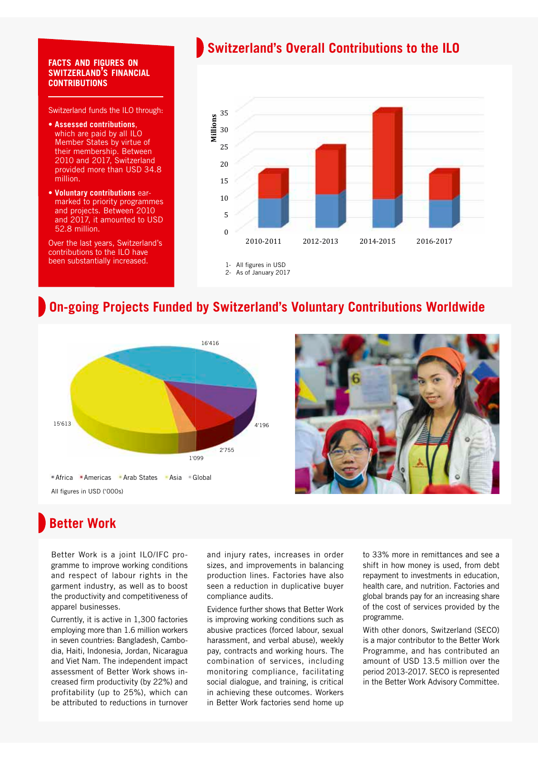#### **FACTS AND FIGURES ON SWITZERLAND'S FINANCIAL CONTRIBUTIONS**

Switzerland funds the ILO through:

- **Assessed contributions**, which are paid by all ILO Member States by virtue of their membership. Between 2010 and 2017, Switzerland provided more than USD 34.8 million.
- **Voluntary contributions** earmarked to priority programmes and projects. Between 2010 and 2017, it amounted to USD 52.8 million.

Over the last years, Switzerland's contributions to the ILO have been substantially increased.

## **Switzerland's Overall Contributions to the ILO**



## **On-going Projects Funded by Switzerland's Voluntary Contributions Worldwide**





# **Better Work**

Better Work is a joint ILO/IFC programme to improve working conditions and respect of labour rights in the garment industry, as well as to boost the productivity and competitiveness of apparel businesses.

Currently, it is active in 1,300 factories employing more than 1.6 million workers in seven countries: Bangladesh, Cambodia, Haiti, Indonesia, Jordan, Nicaragua and Viet Nam. The independent impact assessment of Better Work shows increased firm productivity (by 22%) and profitability (up to 25%), which can be attributed to reductions in turnover and injury rates, increases in order sizes, and improvements in balancing production lines. Factories have also seen a reduction in duplicative buyer compliance audits.

Evidence further shows that Better Work is improving working conditions such as abusive practices (forced labour, sexual harassment, and verbal abuse), weekly pay, contracts and working hours. The combination of services, including monitoring compliance, facilitating social dialogue, and training, is critical in achieving these outcomes. Workers in Better Work factories send home up

to 33% more in remittances and see a shift in how money is used, from debt repayment to investments in education, health care, and nutrition. Factories and global brands pay for an increasing share of the cost of services provided by the programme.

With other donors, Switzerland (SECO) is a major contributor to the Better Work Programme, and has contributed an amount of USD 13.5 million over the period 2013-2017. SECO is represented in the Better Work Advisory Committee.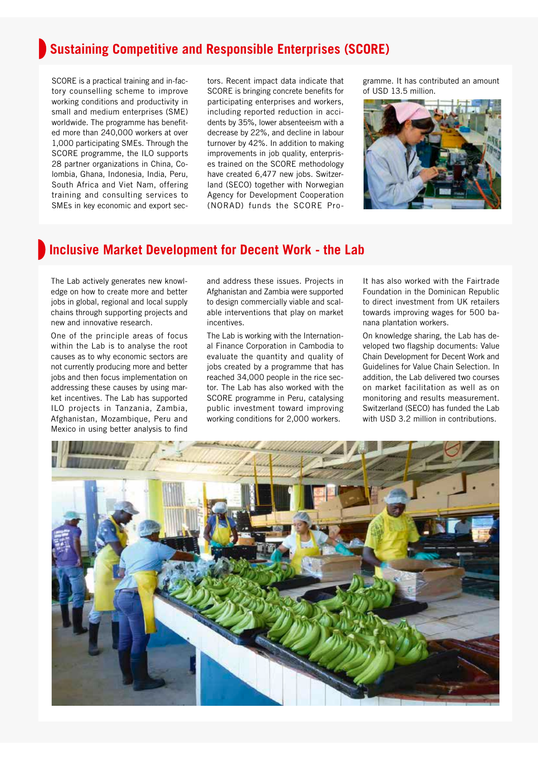# **Sustaining Competitive and Responsible Enterprises (SCORE)**

SCORE is a practical training and in-factory counselling scheme to improve working conditions and productivity in small and medium enterprises (SME) worldwide. The programme has benefited more than 240,000 workers at over 1,000 participating SMEs. Through the SCORE programme, the ILO supports 28 partner organizations in China, Colombia, Ghana, Indonesia, India, Peru, South Africa and Viet Nam, offering training and consulting services to SMEs in key economic and export sectors. Recent impact data indicate that SCORE is bringing concrete benefits for participating enterprises and workers, including reported reduction in accidents by 35%, lower absenteeism with a decrease by 22%, and decline in labour turnover by 42%. In addition to making improvements in job quality, enterprises trained on the SCORE methodology have created 6,477 new jobs. Switzerland (SECO) together with Norwegian Agency for Development Cooperation (NORAD) funds the SCORE Programme. It has contributed an amount of USD 13.5 million.



#### **Inclusive Market Development for Decent Work - the Lab**

The Lab actively generates new knowledge on how to create more and better jobs in global, regional and local supply chains through supporting projects and new and innovative research.

One of the principle areas of focus within the Lab is to analyse the root causes as to why economic sectors are not currently producing more and better jobs and then focus implementation on addressing these causes by using market incentives. The Lab has supported ILO projects in Tanzania, Zambia, Afghanistan, Mozambique, Peru and Mexico in using better analysis to find

and address these issues. Projects in Afghanistan and Zambia were supported to design commercially viable and scalable interventions that play on market incentives.

The Lab is working with the International Finance Corporation in Cambodia to evaluate the quantity and quality of jobs created by a programme that has reached 34,000 people in the rice sector. The Lab has also worked with the SCORE programme in Peru, catalysing public investment toward improving working conditions for 2,000 workers.

It has also worked with the Fairtrade Foundation in the Dominican Republic to direct investment from UK retailers towards improving wages for 500 banana plantation workers.

On knowledge sharing, the Lab has developed two flagship documents: Value Chain Development for Decent Work and Guidelines for Value Chain Selection. In addition, the Lab delivered two courses on market facilitation as well as on monitoring and results measurement. Switzerland (SECO) has funded the Lab with USD 3.2 million in contributions.